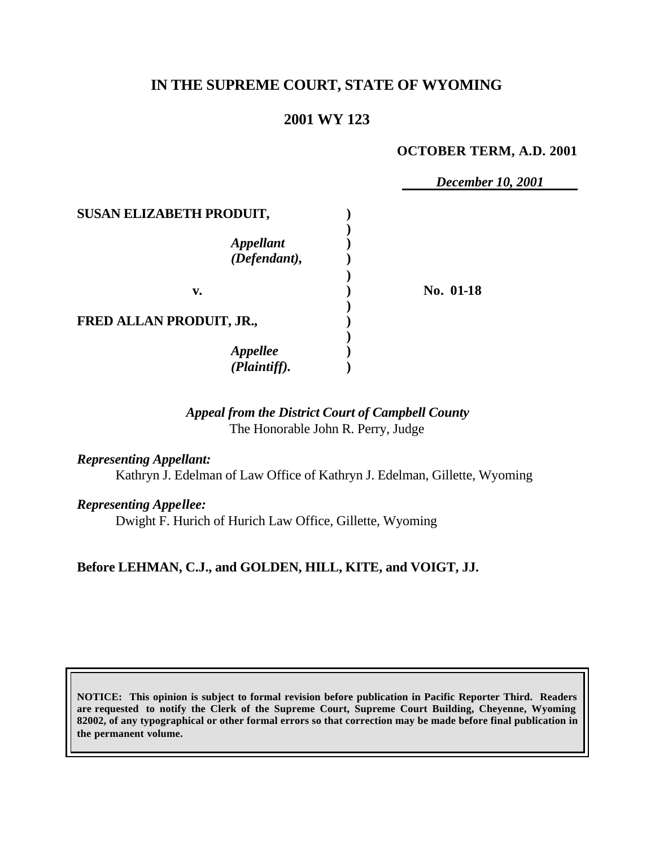# **IN THE SUPREME COURT, STATE OF WYOMING**

## **2001 WY 123**

#### **OCTOBER TERM, A.D. 2001**

*December 10, 2001*

| No. 01-18 |
|-----------|
|           |
|           |
|           |

## *Appeal from the District Court of Campbell County* The Honorable John R. Perry, Judge

*Representing Appellant:*

Kathryn J. Edelman of Law Office of Kathryn J. Edelman, Gillette, Wyoming

*Representing Appellee:*

Dwight F. Hurich of Hurich Law Office, Gillette, Wyoming

## **Before LEHMAN, C.J., and GOLDEN, HILL, KITE, and VOIGT, JJ.**

**NOTICE: This opinion is subject to formal revision before publication in Pacific Reporter Third. Readers are requested to notify the Clerk of the Supreme Court, Supreme Court Building, Cheyenne, Wyoming 82002, of any typographical or other formal errors so that correction may be made before final publication in the permanent volume.**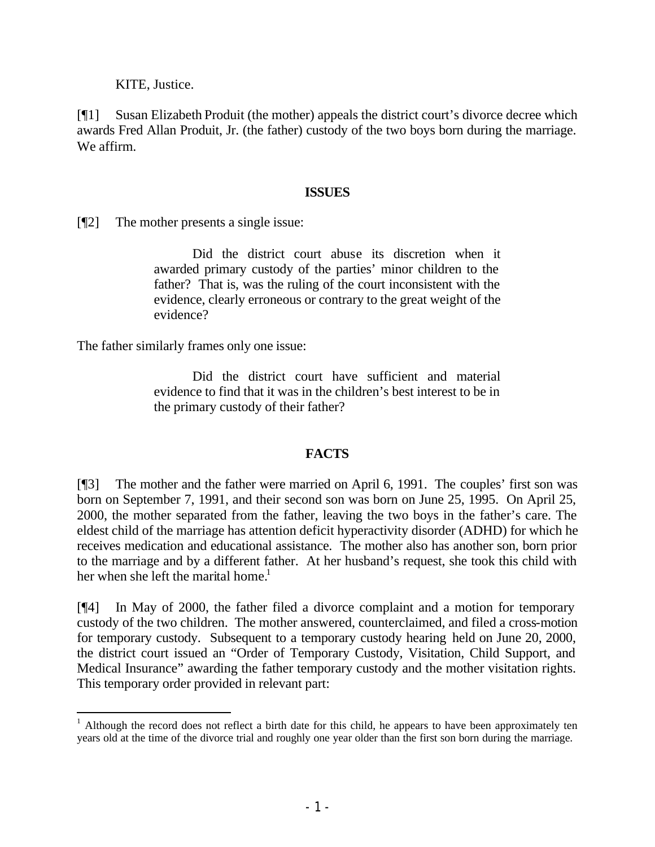KITE, Justice.

[¶1] Susan Elizabeth Produit (the mother) appeals the district court's divorce decree which awards Fred Allan Produit, Jr. (the father) custody of the two boys born during the marriage. We affirm.

#### **ISSUES**

[¶2] The mother presents a single issue:

Did the district court abuse its discretion when it awarded primary custody of the parties' minor children to the father? That is, was the ruling of the court inconsistent with the evidence, clearly erroneous or contrary to the great weight of the evidence?

The father similarly frames only one issue:

Did the district court have sufficient and material evidence to find that it was in the children's best interest to be in the primary custody of their father?

#### **FACTS**

[¶3] The mother and the father were married on April 6, 1991. The couples' first son was born on September 7, 1991, and their second son was born on June 25, 1995. On April 25, 2000, the mother separated from the father, leaving the two boys in the father's care. The eldest child of the marriage has attention deficit hyperactivity disorder (ADHD) for which he receives medication and educational assistance. The mother also has another son, born prior to the marriage and by a different father. At her husband's request, she took this child with her when she left the marital home.<sup>1</sup>

[¶4] In May of 2000, the father filed a divorce complaint and a motion for temporary custody of the two children. The mother answered, counterclaimed, and filed a cross-motion for temporary custody. Subsequent to a temporary custody hearing held on June 20, 2000, the district court issued an "Order of Temporary Custody, Visitation, Child Support, and Medical Insurance" awarding the father temporary custody and the mother visitation rights. This temporary order provided in relevant part:

<sup>&</sup>lt;sup>1</sup> Although the record does not reflect a birth date for this child, he appears to have been approximately ten years old at the time of the divorce trial and roughly one year older than the first son born during the marriage.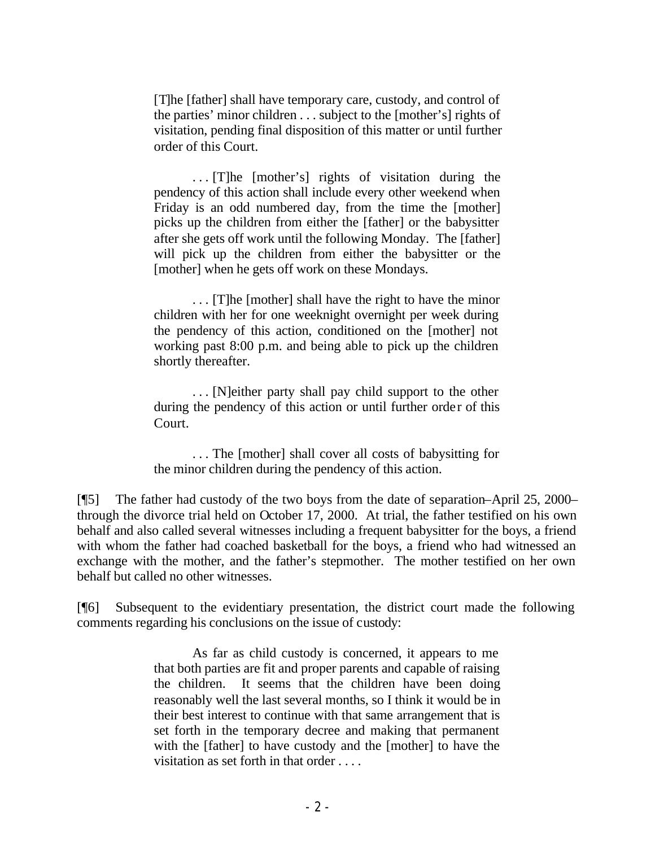[T]he [father] shall have temporary care, custody, and control of the parties' minor children . . . subject to the [mother's] rights of visitation, pending final disposition of this matter or until further order of this Court.

. . . [T]he [mother's] rights of visitation during the pendency of this action shall include every other weekend when Friday is an odd numbered day, from the time the [mother] picks up the children from either the [father] or the babysitter after she gets off work until the following Monday. The [father] will pick up the children from either the babysitter or the [mother] when he gets off work on these Mondays.

. . . [T]he [mother] shall have the right to have the minor children with her for one weeknight overnight per week during the pendency of this action, conditioned on the [mother] not working past 8:00 p.m. and being able to pick up the children shortly thereafter.

. . . [N]either party shall pay child support to the other during the pendency of this action or until further order of this Court.

. . . The [mother] shall cover all costs of babysitting for the minor children during the pendency of this action.

[¶5] The father had custody of the two boys from the date of separation–April 25, 2000– through the divorce trial held on October 17, 2000. At trial, the father testified on his own behalf and also called several witnesses including a frequent babysitter for the boys, a friend with whom the father had coached basketball for the boys, a friend who had witnessed an exchange with the mother, and the father's stepmother. The mother testified on her own behalf but called no other witnesses.

[¶6] Subsequent to the evidentiary presentation, the district court made the following comments regarding his conclusions on the issue of custody:

> As far as child custody is concerned, it appears to me that both parties are fit and proper parents and capable of raising the children. It seems that the children have been doing reasonably well the last several months, so I think it would be in their best interest to continue with that same arrangement that is set forth in the temporary decree and making that permanent with the [father] to have custody and the [mother] to have the visitation as set forth in that order . . . .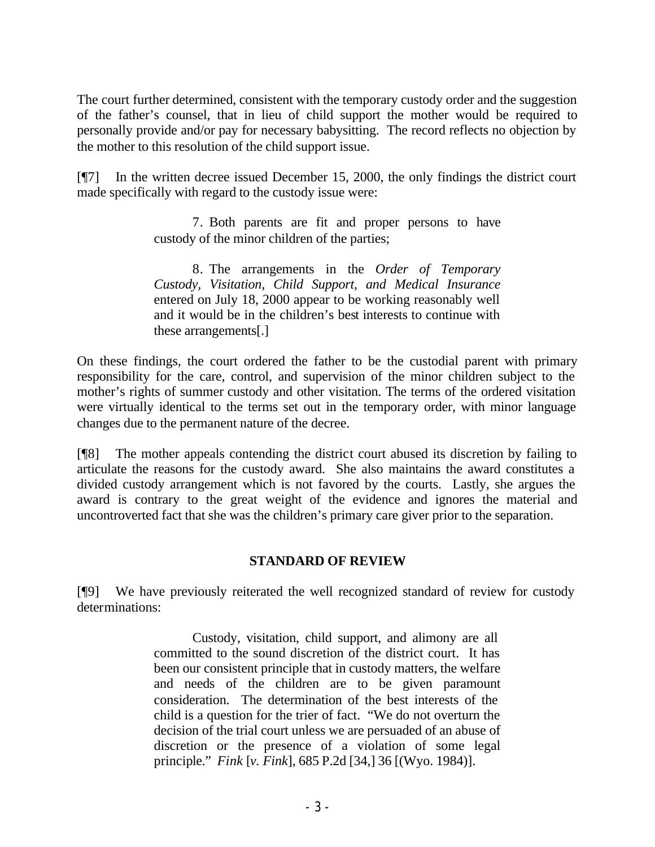The court further determined, consistent with the temporary custody order and the suggestion of the father's counsel, that in lieu of child support the mother would be required to personally provide and/or pay for necessary babysitting. The record reflects no objection by the mother to this resolution of the child support issue.

[¶7] In the written decree issued December 15, 2000, the only findings the district court made specifically with regard to the custody issue were:

> 7. Both parents are fit and proper persons to have custody of the minor children of the parties;

> 8. The arrangements in the *Order of Temporary Custody, Visitation, Child Support, and Medical Insurance* entered on July 18, 2000 appear to be working reasonably well and it would be in the children's best interests to continue with these arrangements[.]

On these findings, the court ordered the father to be the custodial parent with primary responsibility for the care, control, and supervision of the minor children subject to the mother's rights of summer custody and other visitation. The terms of the ordered visitation were virtually identical to the terms set out in the temporary order, with minor language changes due to the permanent nature of the decree.

[¶8] The mother appeals contending the district court abused its discretion by failing to articulate the reasons for the custody award. She also maintains the award constitutes a divided custody arrangement which is not favored by the courts. Lastly, she argues the award is contrary to the great weight of the evidence and ignores the material and uncontroverted fact that she was the children's primary care giver prior to the separation.

## **STANDARD OF REVIEW**

[¶9] We have previously reiterated the well recognized standard of review for custody determinations:

> Custody, visitation, child support, and alimony are all committed to the sound discretion of the district court. It has been our consistent principle that in custody matters, the welfare and needs of the children are to be given paramount consideration. The determination of the best interests of the child is a question for the trier of fact. "We do not overturn the decision of the trial court unless we are persuaded of an abuse of discretion or the presence of a violation of some legal principle." *Fink* [*v. Fink*], 685 P.2d [34,] 36 [(Wyo. 1984)].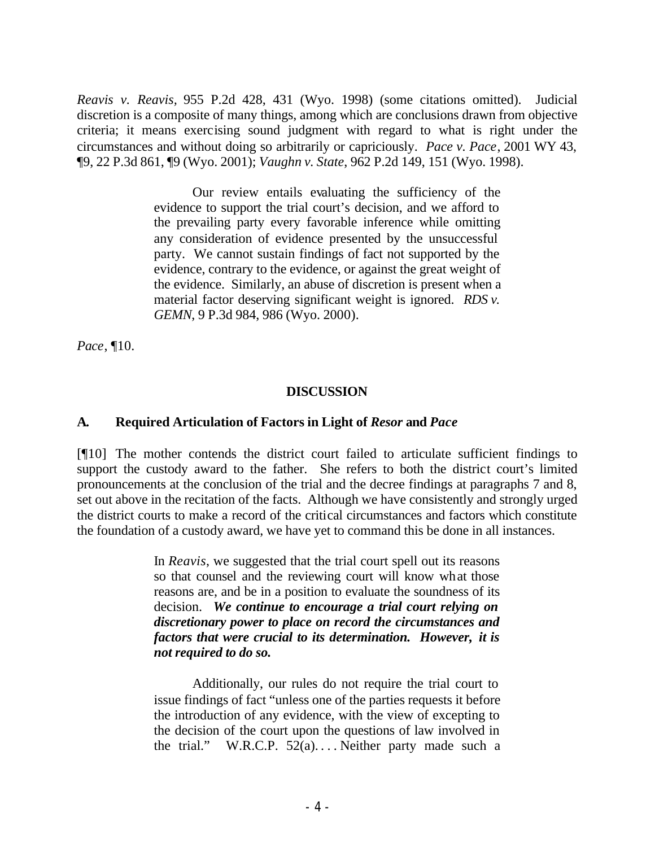*Reavis v. Reavis,* 955 P.2d 428, 431 (Wyo. 1998) (some citations omitted). Judicial discretion is a composite of many things, among which are conclusions drawn from objective criteria; it means exercising sound judgment with regard to what is right under the circumstances and without doing so arbitrarily or capriciously. *Pace v. Pace*, 2001 WY 43, ¶9, 22 P.3d 861, ¶9 (Wyo. 2001); *Vaughn v. State*, 962 P.2d 149, 151 (Wyo. 1998).

> Our review entails evaluating the sufficiency of the evidence to support the trial court's decision, and we afford to the prevailing party every favorable inference while omitting any consideration of evidence presented by the unsuccessful party. We cannot sustain findings of fact not supported by the evidence, contrary to the evidence, or against the great weight of the evidence. Similarly, an abuse of discretion is present when a material factor deserving significant weight is ignored. *RDS v. GEMN*, 9 P.3d 984, 986 (Wyo. 2000).

*Pace*, ¶10.

### **DISCUSSION**

### **A. Required Articulation of Factors in Light of** *Resor* **and** *Pace*

[¶10] The mother contends the district court failed to articulate sufficient findings to support the custody award to the father. She refers to both the district court's limited pronouncements at the conclusion of the trial and the decree findings at paragraphs 7 and 8, set out above in the recitation of the facts. Although we have consistently and strongly urged the district courts to make a record of the critical circumstances and factors which constitute the foundation of a custody award, we have yet to command this be done in all instances.

> In *Reavis*, we suggested that the trial court spell out its reasons so that counsel and the reviewing court will know what those reasons are, and be in a position to evaluate the soundness of its decision. *We continue to encourage a trial court relying on discretionary power to place on record the circumstances and factors that were crucial to its determination. However, it is not required to do so.*

> Additionally, our rules do not require the trial court to issue findings of fact "unless one of the parties requests it before the introduction of any evidence, with the view of excepting to the decision of the court upon the questions of law involved in the trial." W.R.C.P.  $52(a)$ .... Neither party made such a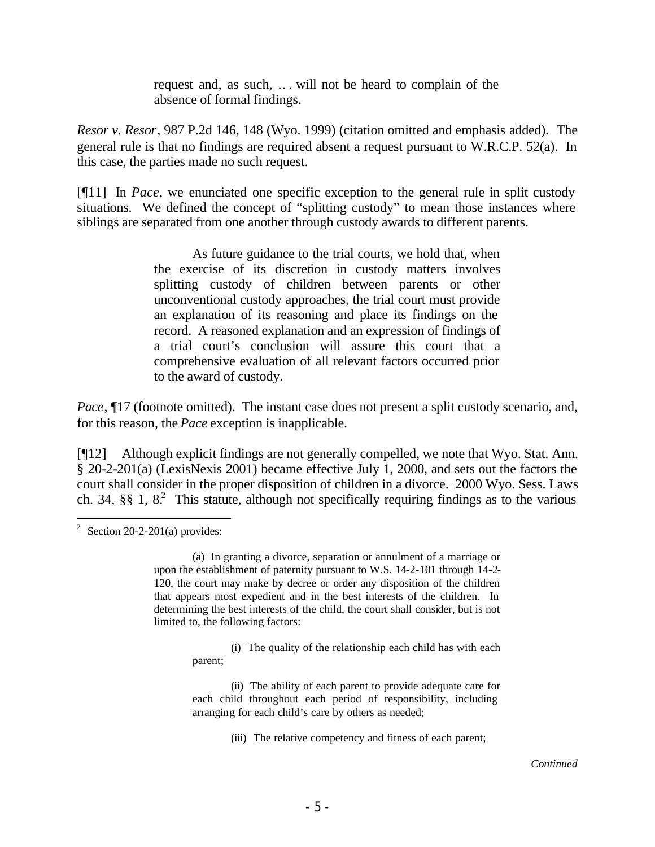request and, as such, .. . will not be heard to complain of the absence of formal findings.

*Resor v. Resor*, 987 P.2d 146, 148 (Wyo. 1999) (citation omitted and emphasis added). The general rule is that no findings are required absent a request pursuant to W.R.C.P. 52(a). In this case, the parties made no such request.

[¶11] In *Pace,* we enunciated one specific exception to the general rule in split custody situations. We defined the concept of "splitting custody" to mean those instances where siblings are separated from one another through custody awards to different parents.

> As future guidance to the trial courts, we hold that, when the exercise of its discretion in custody matters involves splitting custody of children between parents or other unconventional custody approaches, the trial court must provide an explanation of its reasoning and place its findings on the record. A reasoned explanation and an expression of findings of a trial court's conclusion will assure this court that a comprehensive evaluation of all relevant factors occurred prior to the award of custody.

*Pace*,  $\P$ 17 (footnote omitted). The instant case does not present a split custody scenario, and, for this reason, the *Pace* exception is inapplicable.

[¶12] Although explicit findings are not generally compelled, we note that Wyo. Stat. Ann. § 20-2-201(a) (LexisNexis 2001) became effective July 1, 2000, and sets out the factors the court shall consider in the proper disposition of children in a divorce. 2000 Wyo. Sess. Laws ch. 34,  $\S$ § 1,  $8<sup>2</sup>$ . This statute, although not specifically requiring findings as to the various

(i) The quality of the relationship each child has with each parent;

(ii) The ability of each parent to provide adequate care for each child throughout each period of responsibility, including arranging for each child's care by others as needed;

(iii) The relative competency and fitness of each parent;

 <sup>2</sup> Section 20-2-201(a) provides:

<sup>(</sup>a) In granting a divorce, separation or annulment of a marriage or upon the establishment of paternity pursuant to W.S. 14-2-101 through 14-2- 120, the court may make by decree or order any disposition of the children that appears most expedient and in the best interests of the children. In determining the best interests of the child, the court shall consider, but is not limited to, the following factors: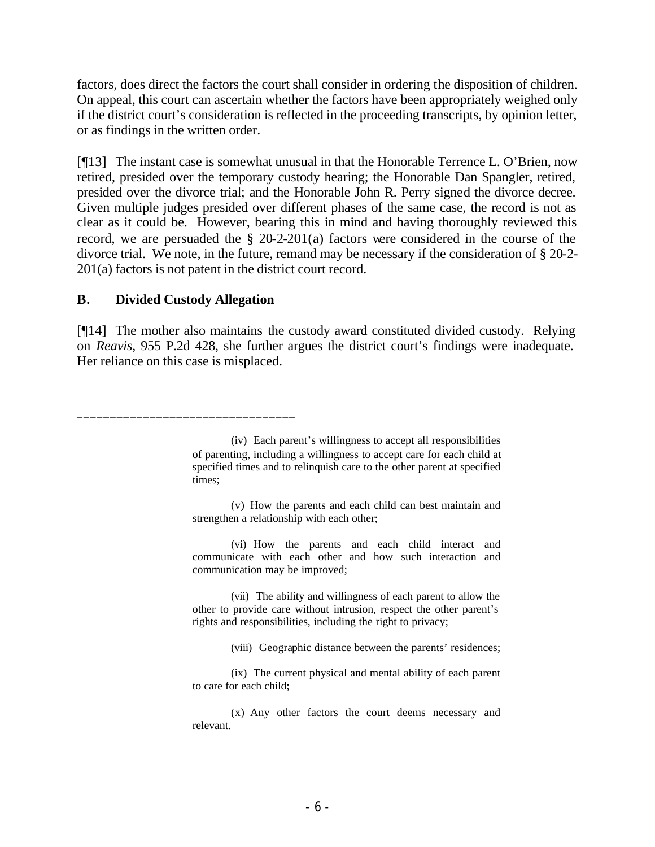factors, does direct the factors the court shall consider in ordering the disposition of children. On appeal, this court can ascertain whether the factors have been appropriately weighed only if the district court's consideration is reflected in the proceeding transcripts, by opinion letter, or as findings in the written order.

[¶13] The instant case is somewhat unusual in that the Honorable Terrence L. O'Brien, now retired, presided over the temporary custody hearing; the Honorable Dan Spangler, retired, presided over the divorce trial; and the Honorable John R. Perry signed the divorce decree. Given multiple judges presided over different phases of the same case, the record is not as clear as it could be. However, bearing this in mind and having thoroughly reviewed this record, we are persuaded the § 20-2-201(a) factors were considered in the course of the divorce trial. We note, in the future, remand may be necessary if the consideration of § 20-2- 201(a) factors is not patent in the district court record.

#### **B. Divided Custody Allegation**

\_\_\_\_\_\_\_\_\_\_\_\_\_\_\_\_\_\_\_\_\_\_\_\_\_\_\_\_\_\_\_\_\_

[¶14] The mother also maintains the custody award constituted divided custody. Relying on *Reavis*, 955 P.2d 428, she further argues the district court's findings were inadequate. Her reliance on this case is misplaced.

(vii) The ability and willingness of each parent to allow the other to provide care without intrusion, respect the other parent's rights and responsibilities, including the right to privacy;

(viii) Geographic distance between the parents' residences;

(ix) The current physical and mental ability of each parent to care for each child;

(x) Any other factors the court deems necessary and relevant.

<sup>(</sup>iv) Each parent's willingness to accept all responsibilities of parenting, including a willingness to accept care for each child at specified times and to relinquish care to the other parent at specified times;

<sup>(</sup>v) How the parents and each child can best maintain and strengthen a relationship with each other;

<sup>(</sup>vi) How the parents and each child interact and communicate with each other and how such interaction and communication may be improved;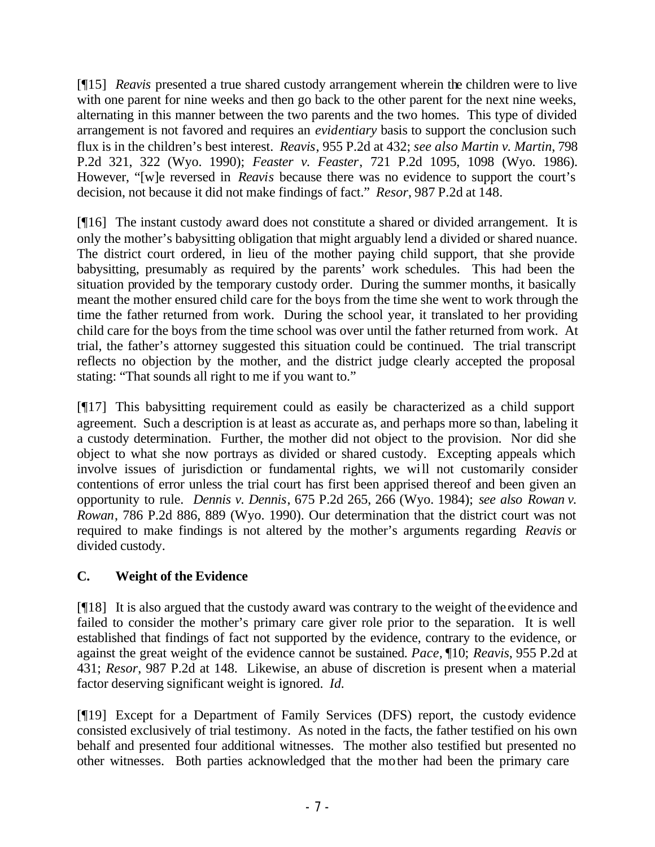[¶15] *Reavis* presented a true shared custody arrangement wherein the children were to live with one parent for nine weeks and then go back to the other parent for the next nine weeks, alternating in this manner between the two parents and the two homes. This type of divided arrangement is not favored and requires an *evidentiary* basis to support the conclusion such flux is in the children's best interest. *Reavis*, 955 P.2d at 432; *see also Martin v. Martin*, 798 P.2d 321, 322 (Wyo. 1990); *Feaster v. Feaster*, 721 P.2d 1095, 1098 (Wyo. 1986). However, "[w]e reversed in *Reavis* because there was no evidence to support the court's decision, not because it did not make findings of fact." *Resor*, 987 P.2d at 148.

[¶16] The instant custody award does not constitute a shared or divided arrangement. It is only the mother's babysitting obligation that might arguably lend a divided or shared nuance. The district court ordered, in lieu of the mother paying child support, that she provide babysitting, presumably as required by the parents' work schedules. This had been the situation provided by the temporary custody order. During the summer months, it basically meant the mother ensured child care for the boys from the time she went to work through the time the father returned from work. During the school year, it translated to her providing child care for the boys from the time school was over until the father returned from work. At trial, the father's attorney suggested this situation could be continued. The trial transcript reflects no objection by the mother, and the district judge clearly accepted the proposal stating: "That sounds all right to me if you want to."

[¶17] This babysitting requirement could as easily be characterized as a child support agreement. Such a description is at least as accurate as, and perhaps more so than, labeling it a custody determination. Further, the mother did not object to the provision. Nor did she object to what she now portrays as divided or shared custody. Excepting appeals which involve issues of jurisdiction or fundamental rights, we will not customarily consider contentions of error unless the trial court has first been apprised thereof and been given an opportunity to rule. *Dennis v. Dennis*, 675 P.2d 265, 266 (Wyo. 1984); *see also Rowan v. Rowan*, 786 P.2d 886, 889 (Wyo. 1990). Our determination that the district court was not required to make findings is not altered by the mother's arguments regarding *Reavis* or divided custody.

# **C. Weight of the Evidence**

[¶18] It is also argued that the custody award was contrary to the weight of the evidence and failed to consider the mother's primary care giver role prior to the separation. It is well established that findings of fact not supported by the evidence, contrary to the evidence, or against the great weight of the evidence cannot be sustained. *Pace,* ¶10; *Reavis*, 955 P.2d at 431; *Resor*, 987 P.2d at 148. Likewise, an abuse of discretion is present when a material factor deserving significant weight is ignored. *Id.*

[¶19] Except for a Department of Family Services (DFS) report, the custody evidence consisted exclusively of trial testimony. As noted in the facts, the father testified on his own behalf and presented four additional witnesses. The mother also testified but presented no other witnesses. Both parties acknowledged that the mother had been the primary care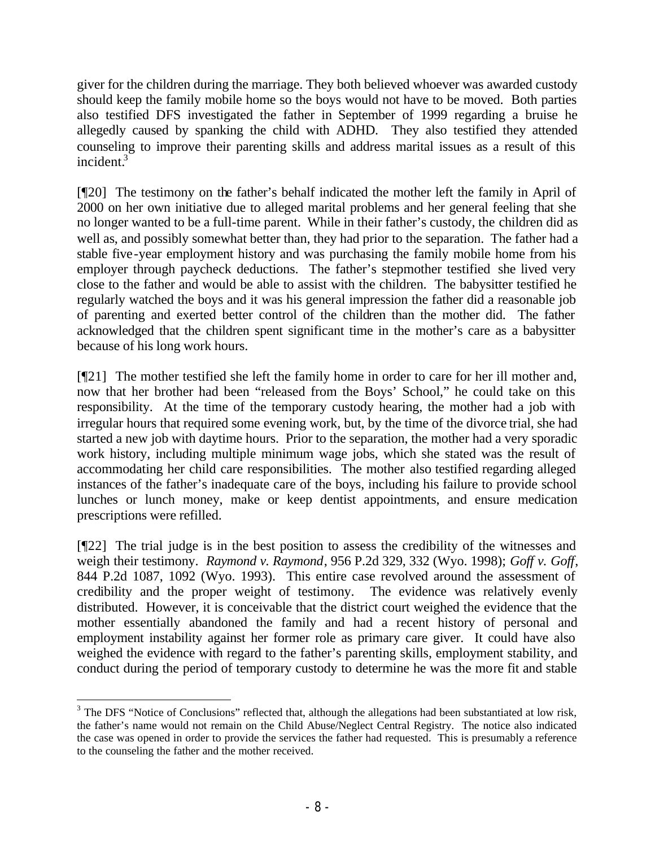giver for the children during the marriage. They both believed whoever was awarded custody should keep the family mobile home so the boys would not have to be moved. Both parties also testified DFS investigated the father in September of 1999 regarding a bruise he allegedly caused by spanking the child with ADHD. They also testified they attended counseling to improve their parenting skills and address marital issues as a result of this  $incident<sup>3</sup>$ 

[¶20] The testimony on the father's behalf indicated the mother left the family in April of 2000 on her own initiative due to alleged marital problems and her general feeling that she no longer wanted to be a full-time parent. While in their father's custody, the children did as well as, and possibly somewhat better than, they had prior to the separation. The father had a stable five-year employment history and was purchasing the family mobile home from his employer through paycheck deductions. The father's stepmother testified she lived very close to the father and would be able to assist with the children. The babysitter testified he regularly watched the boys and it was his general impression the father did a reasonable job of parenting and exerted better control of the children than the mother did. The father acknowledged that the children spent significant time in the mother's care as a babysitter because of his long work hours.

[¶21] The mother testified she left the family home in order to care for her ill mother and, now that her brother had been "released from the Boys' School," he could take on this responsibility. At the time of the temporary custody hearing, the mother had a job with irregular hours that required some evening work, but, by the time of the divorce trial, she had started a new job with daytime hours. Prior to the separation, the mother had a very sporadic work history, including multiple minimum wage jobs, which she stated was the result of accommodating her child care responsibilities. The mother also testified regarding alleged instances of the father's inadequate care of the boys, including his failure to provide school lunches or lunch money, make or keep dentist appointments, and ensure medication prescriptions were refilled.

[¶22] The trial judge is in the best position to assess the credibility of the witnesses and weigh their testimony. *Raymond v. Raymond*, 956 P.2d 329, 332 (Wyo. 1998); *Goff v. Goff*, 844 P.2d 1087, 1092 (Wyo. 1993). This entire case revolved around the assessment of credibility and the proper weight of testimony. The evidence was relatively evenly distributed. However, it is conceivable that the district court weighed the evidence that the mother essentially abandoned the family and had a recent history of personal and employment instability against her former role as primary care giver. It could have also weighed the evidence with regard to the father's parenting skills, employment stability, and conduct during the period of temporary custody to determine he was the more fit and stable

 $3$  The DFS "Notice of Conclusions" reflected that, although the allegations had been substantiated at low risk, the father's name would not remain on the Child Abuse/Neglect Central Registry. The notice also indicated the case was opened in order to provide the services the father had requested. This is presumably a reference to the counseling the father and the mother received.